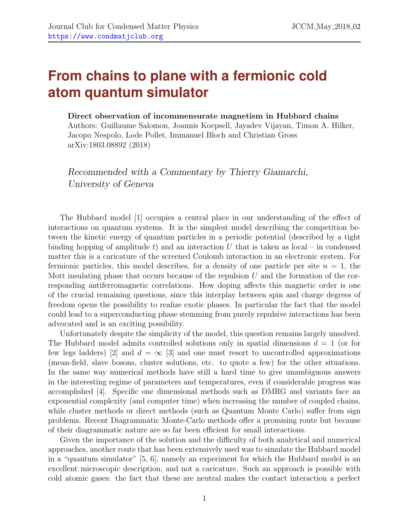## **From chains to plane with a fermionic cold atom quantum simulator**

## Direct observation of incommensurate magnetism in Hubbard chains

Authors: Guillaume Salomon, Joannis Koepsell, Jayadev Vijayan, Timon A. Hilker, Jacopo Nespolo, Lode Pollet, Immanuel Bloch and Christian Gross arXiv:1803.08892 (2018)

Recommended with a Commentary by Thierry Giamarchi, University of Geneva

The Hubbard model [\[1\]](#page-2-0) occupies a central place in our understanding of the effect of interactions on quantum systems. It is the simplest model describing the competition between the kinetic energy of quantum particles in a periodic potential (described by a tight binding hopping of amplitude t) and an interaction U that is taken as local – in condensed matter this is a caricature of the screened Coulomb interaction in an electronic system. For fermionic particles, this model describes, for a density of one particle per site  $n = 1$ , the Mott insulating phase that occurs because of the repulsion  $U$  and the formation of the corresponding antiferromagnetic correlations. How doping affects this magnetic order is one of the crucial remaining questions, since this interplay between spin and charge degrees of freedom opens the possibility to realize exotic phases. In particular the fact that the model could lead to a superconducting phase stemming from purely repulsive interactions has been advocated and is an exciting possibility.

Unfortunately despite the simplicity of the model, this question remains largely unsolved. The Hubbard model admits controlled solutions only in spatial dimensions  $d = 1$  (or for few legs ladders) [\[2\]](#page-3-0) and  $d = \infty$  [\[3\]](#page-3-1) and one must resort to uncontrolled approximations (mean-field, slave bosons, cluster solutions, etc. to quote a few) for the other situations. In the same way numerical methods have still a hard time to give unambiguous answers in the interesting regime of parameters and temperatures, even if considerable progress was accomplished [\[4\]](#page-3-2). Specific one dimensional methods such as DMRG and variants face an exponential complexity (and computer time) when increasing the number of coupled chains, while cluster methods or direct methods (such as Quantum Monte Carlo) suffer from sign problems. Recent Diagrammatic Monte-Carlo methods offer a promising route but because of their diagrammatic nature are so far been efficient for small interactions.

Given the importance of the solution and the difficulty of both analytical and numerical approaches, another route that has been extensively used was to simulate the Hubbard model in a "quantum simulator" [\[5,](#page-3-3) [6\]](#page-3-4), namely an experiment for which the Hubbard model is an excellent microscopic description, and not a caricature. Such an approach is possible with cold atomic gases: the fact that these are neutral makes the contact interaction a perfect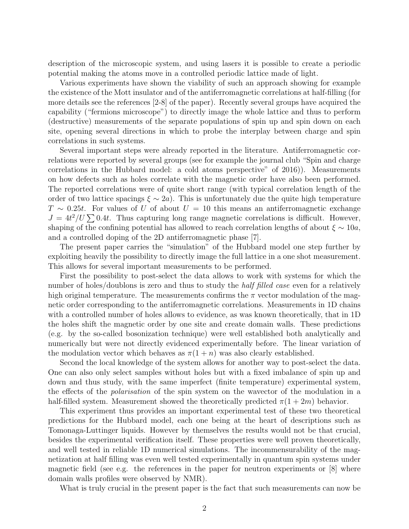description of the microscopic system, and using lasers it is possible to create a periodic potential making the atoms move in a controlled periodic lattice made of light.

Various experiments have shown the viability of such an approach showing for example the existence of the Mott insulator and of the antiferromagnetic correlations at half-filling (for more details see the references [2-8] of the paper). Recently several groups have acquired the capability ("fermions microscope") to directly image the whole lattice and thus to perform (destructive) measurements of the separate populations of spin up and spin down on each site, opening several directions in which to probe the interplay between charge and spin correlations in such systems.

Several important steps were already reported in the literature. Antiferromagnetic correlations were reported by several groups (see for example the journal club "Spin and charge correlations in the Hubbard model: a cold atoms perspective" of 2016)). Measurements on how defects such as holes correlate with the magnetic order have also been performed. The reported correlations were of quite short range (with typical correlation length of the order of two lattice spacings  $\xi \sim 2a$ . This is unfortunately due the quite high temperature  $T \sim 0.25t$ . For values of U of about  $U = 10$  this means an antiferromagnetic exchange  $J = 4t^2/U \sum 0.4t$ . Thus capturing long range magnetic correlations is difficult. However, shaping of the confining potential has allowed to reach correlation lengths of about  $\xi \sim 10a$ , and a controlled doping of the 2D antiferromagnetic phase [\[7\]](#page-3-5).

The present paper carries the "simulation" of the Hubbard model one step further by exploiting heavily the possibility to directly image the full lattice in a one shot measurement. This allows for several important measurements to be performed.

First the possibility to post-select the data allows to work with systems for which the number of holes/doublons is zero and thus to study the *half filled case* even for a relatively high original temperature. The measurements confirms the  $\pi$  vector modulation of the magnetic order corresponding to the antiferromagnetic correlations. Measurements in 1D chains with a controlled number of holes allows to evidence, as was known theoretically, that in 1D the holes shift the magnetic order by one site and create domain walls. These predictions (e.g. by the so-called bosonization technique) were well established both analytically and numerically but were not directly evidenced experimentally before. The linear variation of the modulation vector which behaves as  $\pi(1+n)$  was also clearly established.

Second the local knowledge of the system allows for another way to post-select the data. One can also only select samples without holes but with a fixed imbalance of spin up and down and thus study, with the same imperfect (finite temperature) experimental system, the effects of the polarisation of the spin system on the wavector of the modulation in a half-filled system. Measurement showed the theoretically predicted  $\pi(1+2m)$  behavior.

This experiment thus provides an important experimental test of these two theoretical predictions for the Hubbard model, each one being at the heart of descriptions such as Tomonaga-Luttinger liquids. However by themselves the results would not be that crucial, besides the experimental verification itself. These properties were well proven theoretically, and well tested in reliable 1D numerical simulations. The incommensurability of the magnetization at half filling was even well tested experimentally in quantum spin systems under magnetic field (see e.g. the references in the paper for neutron experiments or  $|8|$  where domain walls profiles were observed by NMR).

What is truly crucial in the present paper is the fact that such measurements can now be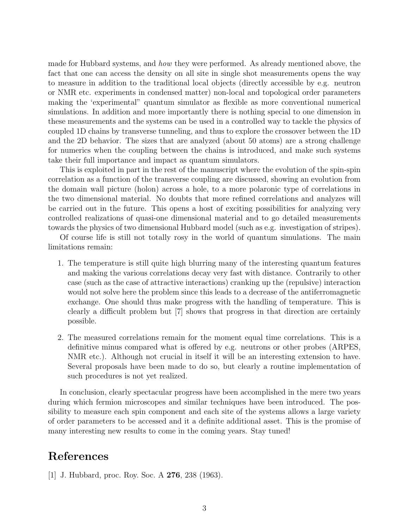made for Hubbard systems, and how they were performed. As already mentioned above, the fact that one can access the density on all site in single shot measurements opens the way to measure in addition to the traditional local objects (directly accessible by e.g. neutron or NMR etc. experiments in condensed matter) non-local and topological order parameters making the 'experimental" quantum simulator as flexible as more conventional numerical simulations. In addition and more importantly there is nothing special to one dimension in these measurements and the systems can be used in a controlled way to tackle the physics of coupled 1D chains by transverse tunneling, and thus to explore the crossover between the 1D and the 2D behavior. The sizes that are analyzed (about 50 atoms) are a strong challenge for numerics when the coupling between the chains is introduced, and make such systems take their full importance and impact as quantum simulators.

This is exploited in part in the rest of the manuscript where the evolution of the spin-spin correlation as a function of the transverse coupling are discussed, showing an evolution from the domain wall picture (holon) across a hole, to a more polaronic type of correlations in the two dimensional material. No doubts that more refined correlations and analyzes will be carried out in the future. This opens a host of exciting possibilities for analyzing very controlled realizations of quasi-one dimensional material and to go detailed measurements towards the physics of two dimensional Hubbard model (such as e.g. investigation of stripes).

Of course life is still not totally rosy in the world of quantum simulations. The main limitations remain:

- 1. The temperature is still quite high blurring many of the interesting quantum features and making the various correlations decay very fast with distance. Contrarily to other case (such as the case of attractive interactions) cranking up the (repulsive) interaction would not solve here the problem since this leads to a decrease of the antiferromagnetic exchange. One should thus make progress with the handling of temperature. This is clearly a difficult problem but [\[7\]](#page-3-5) shows that progress in that direction are certainly possible.
- 2. The measured correlations remain for the moment equal time correlations. This is a definitive minus compared what is offered by e.g. neutrons or other probes (ARPES, NMR etc.). Although not crucial in itself it will be an interesting extension to have. Several proposals have been made to do so, but clearly a routine implementation of such procedures is not yet realized.

In conclusion, clearly spectacular progress have been accomplished in the mere two years during which fermion microscopes and similar techniques have been introduced. The possibility to measure each spin component and each site of the systems allows a large variety of order parameters to be accessed and it a definite additional asset. This is the promise of many interesting new results to come in the coming years. Stay tuned!

## References

<span id="page-2-0"></span>[1] J. Hubbard, proc. Roy. Soc. A 276, 238 (1963).